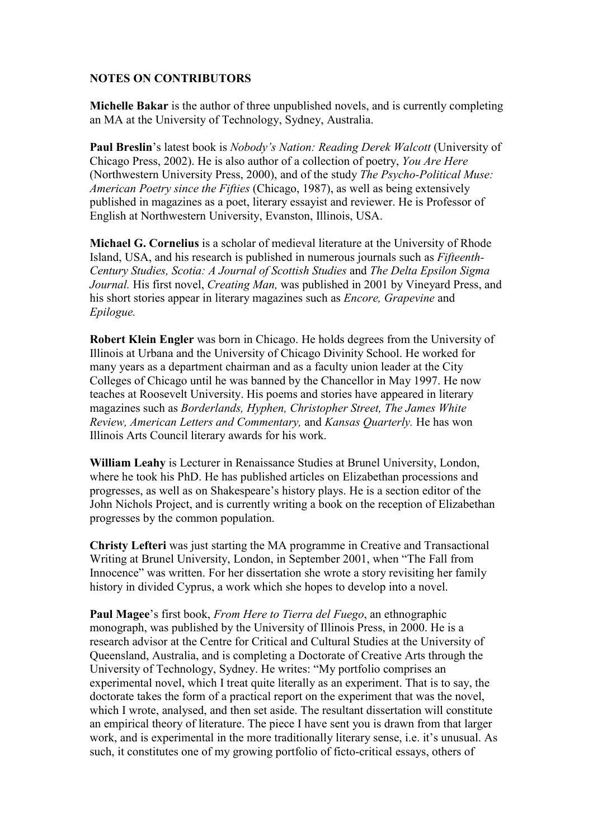## **NOTES ON CONTRIBUTORS**

**Michelle Bakar** is the author of three unpublished novels, and is currently completing an MA at the University of Technology, Sydney, Australia.

**Paul Breslin**'s latest book is *Nobody's Nation: Reading Derek Walcott* (University of Chicago Press, 2002). He is also author of a collection of poetry, *You Are Here*  (Northwestern University Press, 2000), and of the study *The Psycho-Political Muse: American Poetry since the Fifties* (Chicago, 1987), as well as being extensively published in magazines as a poet, literary essayist and reviewer. He is Professor of English at Northwestern University, Evanston, Illinois, USA.

**Michael G. Cornelius** is a scholar of medieval literature at the University of Rhode Island, USA, and his research is published in numerous journals such as *Fifteenth-Century Studies, Scotia: A Journal of Scottish Studies* and *The Delta Epsilon Sigma Journal.* His first novel, *Creating Man,* was published in 2001 by Vineyard Press, and his short stories appear in literary magazines such as *Encore, Grapevine* and *Epilogue.* 

**Robert Klein Engler** was born in Chicago. He holds degrees from the University of Illinois at Urbana and the University of Chicago Divinity School. He worked for many years as a department chairman and as a faculty union leader at the City Colleges of Chicago until he was banned by the Chancellor in May 1997. He now teaches at Roosevelt University. His poems and stories have appeared in literary magazines such as *Borderlands, Hyphen, Christopher Street, The James White Review, American Letters and Commentary,* and *Kansas Quarterly.* He has won Illinois Arts Council literary awards for his work.

**William Leahy** is Lecturer in Renaissance Studies at Brunel University, London, where he took his PhD. He has published articles on Elizabethan processions and progresses, as well as on Shakespeare's history plays. He is a section editor of the John Nichols Project, and is currently writing a book on the reception of Elizabethan progresses by the common population.

**Christy Lefteri** was just starting the MA programme in Creative and Transactional Writing at Brunel University, London, in September 2001, when "The Fall from Innocence" was written. For her dissertation she wrote a story revisiting her family history in divided Cyprus, a work which she hopes to develop into a novel.

**Paul Magee**'s first book, *From Here to Tierra del Fuego*, an ethnographic monograph, was published by the University of Illinois Press, in 2000. He is a research advisor at the Centre for Critical and Cultural Studies at the University of Queensland, Australia, and is completing a Doctorate of Creative Arts through the University of Technology, Sydney. He writes: "My portfolio comprises an experimental novel, which I treat quite literally as an experiment. That is to say, the doctorate takes the form of a practical report on the experiment that was the novel, which I wrote, analysed, and then set aside. The resultant dissertation will constitute an empirical theory of literature. The piece I have sent you is drawn from that larger work, and is experimental in the more traditionally literary sense, i.e. it's unusual. As such, it constitutes one of my growing portfolio of ficto-critical essays, others of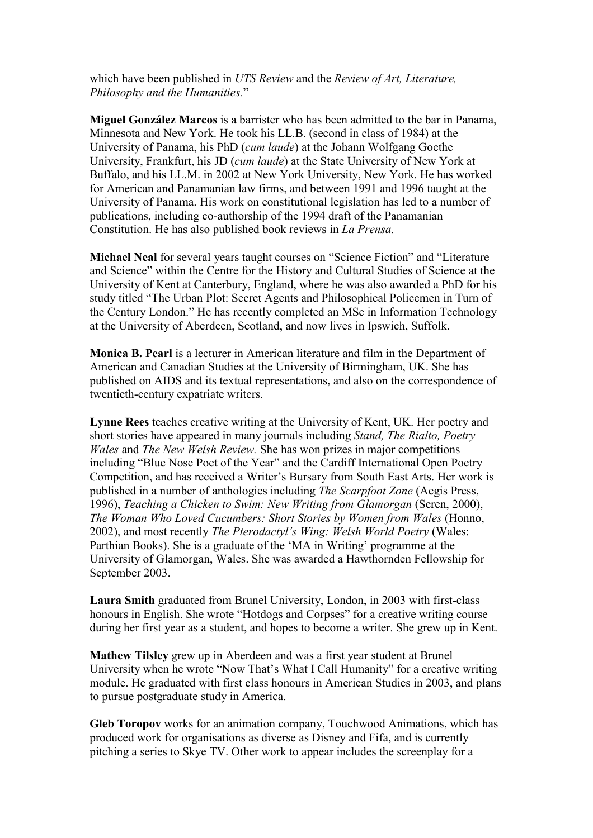which have been published in *UTS Review* and the *Review of Art, Literature, Philosophy and the Humanities.*"

**Miguel González Marcos** is a barrister who has been admitted to the bar in Panama, Minnesota and New York. He took his LL.B. (second in class of 1984) at the University of Panama, his PhD (*cum laude*) at the Johann Wolfgang Goethe University, Frankfurt, his JD (*cum laude*) at the State University of New York at Buffalo, and his LL.M. in 2002 at New York University, New York. He has worked for American and Panamanian law firms, and between 1991 and 1996 taught at the University of Panama. His work on constitutional legislation has led to a number of publications, including co-authorship of the 1994 draft of the Panamanian Constitution. He has also published book reviews in *La Prensa.*

**Michael Neal** for several years taught courses on "Science Fiction" and "Literature and Science" within the Centre for the History and Cultural Studies of Science at the University of Kent at Canterbury, England, where he was also awarded a PhD for his study titled "The Urban Plot: Secret Agents and Philosophical Policemen in Turn of the Century London." He has recently completed an MSc in Information Technology at the University of Aberdeen, Scotland, and now lives in Ipswich, Suffolk.

**Monica B. Pearl** is a lecturer in American literature and film in the Department of American and Canadian Studies at the University of Birmingham, UK. She has published on AIDS and its textual representations, and also on the correspondence of twentieth-century expatriate writers.

**Lynne Rees** teaches creative writing at the University of Kent, UK. Her poetry and short stories have appeared in many journals including *Stand, The Rialto, Poetry Wales* and *The New Welsh Review.* She has won prizes in major competitions including "Blue Nose Poet of the Year" and the Cardiff International Open Poetry Competition, and has received a Writer's Bursary from South East Arts. Her work is published in a number of anthologies including *The Scarpfoot Zone* (Aegis Press, 1996), *Teaching a Chicken to Swim: New Writing from Glamorgan* (Seren, 2000), *The Woman Who Loved Cucumbers: Short Stories by Women from Wales* (Honno, 2002), and most recently *The Pterodactyl's Wing: Welsh World Poetry* (Wales: Parthian Books). She is a graduate of the 'MA in Writing' programme at the University of Glamorgan, Wales. She was awarded a Hawthornden Fellowship for September 2003.

**Laura Smith** graduated from Brunel University, London, in 2003 with first-class honours in English. She wrote "Hotdogs and Corpses" for a creative writing course during her first year as a student, and hopes to become a writer. She grew up in Kent.

**Mathew Tilsley** grew up in Aberdeen and was a first year student at Brunel University when he wrote "Now That's What I Call Humanity" for a creative writing module. He graduated with first class honours in American Studies in 2003, and plans to pursue postgraduate study in America.

**Gleb Toropov** works for an animation company, Touchwood Animations, which has produced work for organisations as diverse as Disney and Fifa, and is currently pitching a series to Skye TV. Other work to appear includes the screenplay for a